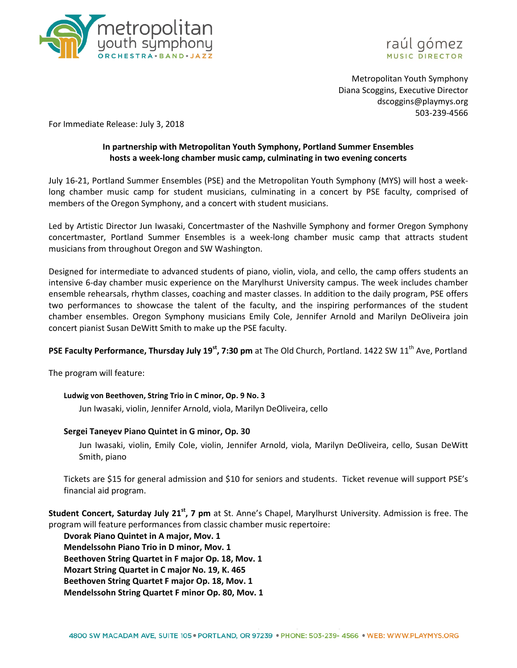



Metropolitan Youth Symphony Diana Scoggins, Executive Director dscoggins@playmys.org 503-239-4566

For Immediate Release: July 3, 2018

# **In partnership with Metropolitan Youth Symphony, Portland Summer Ensembles hosts a week-long chamber music camp, culminating in two evening concerts**

July 16-21, Portland Summer Ensembles (PSE) and the Metropolitan Youth Symphony (MYS) will host a weeklong chamber music camp for student musicians, culminating in a concert by PSE faculty, comprised of members of the Oregon Symphony, and a concert with student musicians.

Led by Artistic Director Jun Iwasaki, Concertmaster of the Nashville Symphony and former Oregon Symphony concertmaster, Portland Summer Ensembles is a week-long chamber music camp that attracts student musicians from throughout Oregon and SW Washington.

Designed for intermediate to advanced students of piano, violin, viola, and cello, the camp offers students an intensive 6-day chamber music experience on the Marylhurst University campus. The week includes chamber ensemble rehearsals, rhythm classes, coaching and master classes. In addition to the daily program, PSE offers two performances to showcase the talent of the faculty, and the inspiring performances of the student chamber ensembles. Oregon Symphony musicians Emily Cole, Jennifer Arnold and Marilyn DeOliveira join concert pianist Susan DeWitt Smith to make up the PSE faculty.

## **PSE Faculty Performance, Thursday July 19<sup>st</sup>, 7:30 pm** at The Old Church, Portland. 1422 SW 11<sup>th</sup> Ave, Portland

The program will feature:

## **Ludwig von Beethoven, String Trio in C minor, Op. 9 No. 3**

Jun Iwasaki, violin, Jennifer Arnold, viola, Marilyn DeOliveira, cello

## **Sergei Taneyev Piano Quintet in G minor, Op. 30**

Jun Iwasaki, violin, Emily Cole, violin, Jennifer Arnold, viola, Marilyn DeOliveira, cello, Susan DeWitt Smith, piano

Tickets are \$15 for general admission and \$10 for seniors and students. Ticket revenue will support PSE's financial aid program.

**Student Concert, Saturday July 21st, 7 pm** at St. Anne's Chapel, Marylhurst University. Admission is free. The program will feature performances from classic chamber music repertoire:

**Dvorak Piano Quintet in A major, Mov. 1 Mendelssohn Piano Trio in D minor, Mov. 1 Beethoven String Quartet in F major Op. 18, Mov. 1 Mozart String Quartet in C major No. 19, K. 465 Beethoven String Quartet F major Op. 18, Mov. 1 Mendelssohn String Quartet F minor Op. 80, Mov. 1**